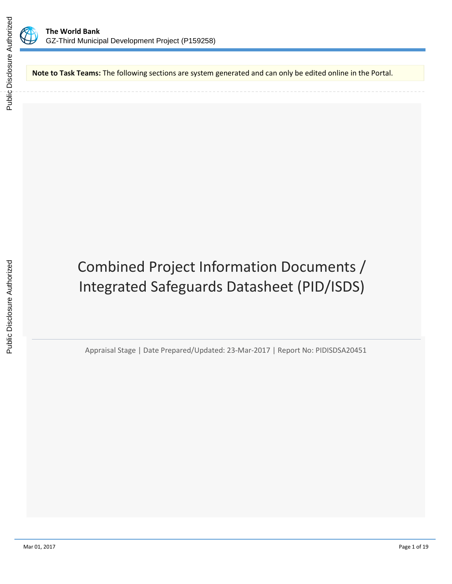

**Note to Task Teams:** The following sections are system generated and can only be edited online in the Portal.

Combined Project Information Documents / Integrated Safeguards Datasheet (PID/ISDS)

Appraisal Stage | Date Prepared/Updated: 23-Mar-2017 | Report No: PIDISDSA20451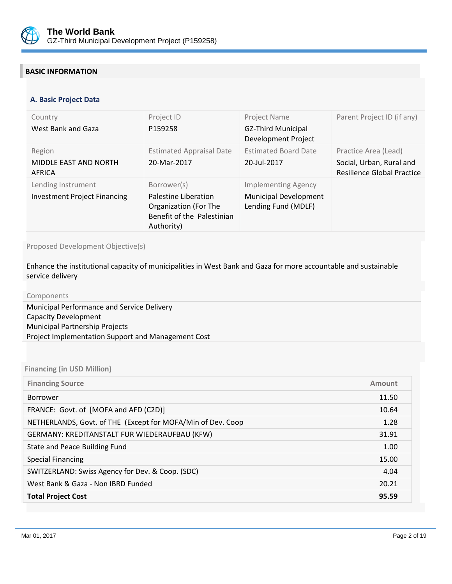

# **BASIC INFORMATION**

#### **OPS\_TABLE\_BASIC\_DATA A. Basic Project Data**

| Country<br>West Bank and Gaza                             | Project ID<br>P159258                                                                                    | Project Name<br><b>GZ-Third Municipal</b><br>Development Project                  | Parent Project ID (if any)                                                            |
|-----------------------------------------------------------|----------------------------------------------------------------------------------------------------------|-----------------------------------------------------------------------------------|---------------------------------------------------------------------------------------|
| Region<br>MIDDLE EAST AND NORTH<br>AFRICA                 | <b>Estimated Appraisal Date</b><br>20-Mar-2017                                                           | <b>Estimated Board Date</b><br>20-Jul-2017                                        | Practice Area (Lead)<br>Social, Urban, Rural and<br><b>Resilience Global Practice</b> |
| Lending Instrument<br><b>Investment Project Financing</b> | Borrower(s)<br>Palestine Liberation<br>Organization (For The<br>Benefit of the Palestinian<br>Authority) | <b>Implementing Agency</b><br><b>Municipal Development</b><br>Lending Fund (MDLF) |                                                                                       |

# Proposed Development Objective(s)

Enhance the institutional capacity of municipalities in West Bank and Gaza for more accountable and sustainable service delivery

| Components                                         |
|----------------------------------------------------|
| Municipal Performance and Service Delivery         |
| Capacity Development                               |
| <b>Municipal Partnership Projects</b>              |
| Project Implementation Support and Management Cost |
|                                                    |

# **Financing (in USD Million)**

| <b>Financing Source</b>                                     | Amount |
|-------------------------------------------------------------|--------|
| <b>Borrower</b>                                             | 11.50  |
| FRANCE: Govt. of [MOFA and AFD (C2D)]                       | 10.64  |
| NETHERLANDS, Govt. of THE (Except for MOFA/Min of Dev. Coop | 1.28   |
| GERMANY: KREDITANSTALT FUR WIEDERAUFBAU (KFW)               | 31.91  |
| State and Peace Building Fund                               | 1.00   |
| <b>Special Financing</b>                                    | 15.00  |
| SWITZERLAND: Swiss Agency for Dev. & Coop. (SDC)            | 4.04   |
| West Bank & Gaza - Non IBRD Funded                          | 20.21  |
| <b>Total Project Cost</b>                                   | 95.59  |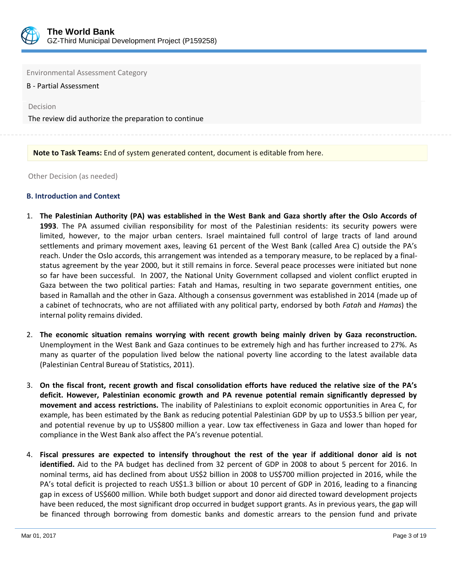

Environmental Assessment Category

B - Partial Assessment

Decision

The review did authorize the preparation to continue

#### **Note to Task Teams:** End of system generated content, document is editable from here.

Other Decision (as needed)

#### **B. Introduction and Context**

- 1. **The Palestinian Authority (PA) was established in the West Bank and Gaza shortly after the Oslo Accords of 1993**. The PA assumed civilian responsibility for most of the Palestinian residents: its security powers were limited, however, to the major urban centers. Israel maintained full control of large tracts of land around settlements and primary movement axes, leaving 61 percent of the West Bank (called Area C) outside the PA's reach. Under the Oslo accords, this arrangement was intended as a temporary measure, to be replaced by a finalstatus agreement by the year 2000, but it still remains in force. Several peace processes were initiated but none so far have been successful. In 2007, the National Unity Government collapsed and violent conflict erupted in Gaza between the two political parties: Fatah and Hamas, resulting in two separate government entities, one based in Ramallah and the other in Gaza. Although a consensus government was established in 2014 (made up of a cabinet of technocrats, who are not affiliated with any political party, endorsed by both *Fatah* and *Hamas*) the internal polity remains divided.
- 2. **The economic situation remains worrying with recent growth being mainly driven by Gaza reconstruction.** Unemployment in the West Bank and Gaza continues to be extremely high and has further increased to 27%. As many as quarter of the population lived below the national poverty line according to the latest available data (Palestinian Central Bureau of Statistics, 2011).
- 3. **On the fiscal front, recent growth and fiscal consolidation efforts have reduced the relative size of the PA's deficit. However, Palestinian economic growth and PA revenue potential remain significantly depressed by movement and access restrictions.** The inability of Palestinians to exploit economic opportunities in Area C, for example, has been estimated by the Bank as reducing potential Palestinian GDP by up to US\$3.5 billion per year, and potential revenue by up to US\$800 million a year. Low tax effectiveness in Gaza and lower than hoped for compliance in the West Bank also affect the PA's revenue potential.
- 4. **Fiscal pressures are expected to intensify throughout the rest of the year if additional donor aid is not identified.** Aid to the PA budget has declined from 32 percent of GDP in 2008 to about 5 percent for 2016. In nominal terms, aid has declined from about US\$2 billion in 2008 to US\$700 million projected in 2016, while the PA's total deficit is projected to reach US\$1.3 billion or about 10 percent of GDP in 2016, leading to a financing gap in excess of US\$600 million. While both budget support and donor aid directed toward development projects have been reduced, the most significant drop occurred in budget support grants. As in previous years, the gap will be financed through borrowing from domestic banks and domestic arrears to the pension fund and private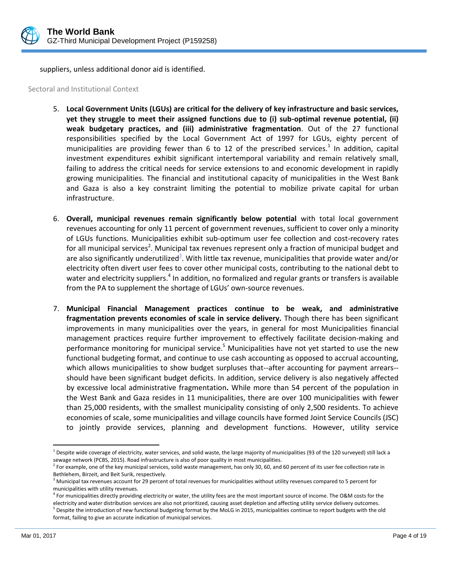

suppliers, unless additional donor aid is identified.

Sectoral and Institutional Context

- 5. **Local Government Units (LGUs) are critical for the delivery of key infrastructure and basic services, yet they struggle to meet their assigned functions due to (i) sub-optimal revenue potential, (ii) weak budgetary practices, and (iii) administrative fragmentation**. Out of the 27 functional responsibilities specified by the Local Government Act of 1997 for LGUs, eighty percent of municipalities are providing fewer than 6 to 12 of the prescribed services.<sup>1</sup> In addition, capital investment expenditures exhibit significant intertemporal variability and remain relatively small, failing to address the critical needs for service extensions to and economic development in rapidly growing municipalities. The financial and institutional capacity of municipalities in the West Bank and Gaza is also a key constraint limiting the potential to mobilize private capital for urban infrastructure.
- 6. **Overall, municipal revenues remain significantly below potential** with total local government revenues accounting for only 11 percent of government revenues, sufficient to cover only a minority of LGUs functions. Municipalities exhibit sub-optimum user fee collection and cost-recovery rates for all municipal services<sup>2</sup>. Municipal tax revenues represent only a fraction of municipal budget and are also significantly underutilized<sup>3</sup>. With little tax revenue, municipalities that provide water and/or electricity often divert user fees to cover other municipal costs, contributing to the national debt to water and electricity suppliers.<sup>4</sup> In addition, no formalized and regular grants or transfers is available from the PA to supplement the shortage of LGUs' own-source revenues.
- 7. **Municipal Financial Management practices continue to be weak, and administrative fragmentation prevents economies of scale in service delivery.** Though there has been significant improvements in many municipalities over the years, in general for most Municipalities financial management practices require further improvement to effectively facilitate decision-making and performance monitoring for municipal service.<sup>5</sup> Municipalities have not yet started to use the new functional budgeting format, and continue to use cash accounting as opposed to accrual accounting, which allows municipalities to show budget surpluses that--after accounting for payment arrears- should have been significant budget deficits. In addition, service delivery is also negatively affected by excessive local administrative fragmentation**.** While more than 54 percent of the population in the West Bank and Gaza resides in 11 municipalities, there are over 100 municipalities with fewer than 25,000 residents, with the smallest municipality consisting of only 2,500 residents. To achieve economies of scale, some municipalities and village councils have formed Joint Service Councils (JSC) to jointly provide services, planning and development functions. However, utility service

 $\overline{\phantom{a}}$  $^1$  Despite wide coverage of electricity, water services, and solid waste, the large majority of municipalities (93 of the 120 surveyed) still lack a sewage network (PCBS, 2015). Road infrastructure is also of poor quality in most municipalities.

<sup>&</sup>lt;sup>2</sup> For example, one of the key municipal services, solid waste management, has only 30, 60, and 60 percent of its user fee collection rate in Bethlehem, Birzeit, and Beit Surik, respectively.

 $3$  Municipal tax revenues account for 29 percent of total revenues for municipalities without utility revenues compared to 5 percent for municipalities with utility revenues.

<sup>&</sup>lt;sup>4</sup> For municipalities directly providing electricity or water, the utility fees are the most important source of income. The O&M costs for the electricity and water distribution services are also not prioritized, causing asset depletion and affecting utility service delivery outcomes. 5 Despite the introduction of new functional budgeting format by the MoLG in 2015, municipalities continue to report budgets with the old format, failing to give an accurate indication of municipal services.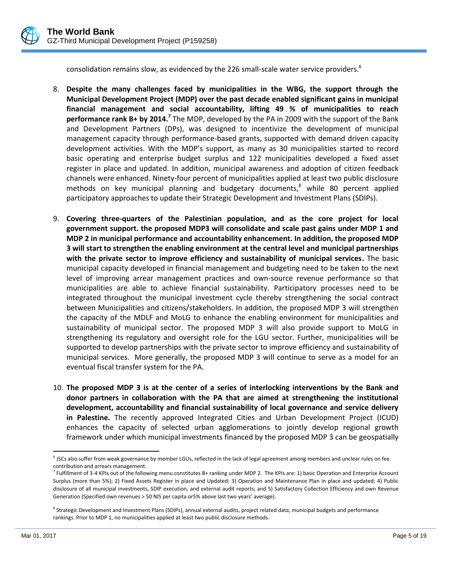

consolidation remains slow, as evidenced by the 226 small-scale water service providers.<sup>6</sup>

- 8. **Despite the many challenges faced by municipalities in the WBG, the support through the Municipal Development Project (MDP) over the past decade enabled significant gains in municipal financial management and social accountability, lifting 49 % of municipalities to reach performance rank B+ by 2014.<sup>7</sup>** The MDP, developed by the PA in 2009 with the support of the Bank and Development Partners (DPs), was designed to incentivize the development of municipal management capacity through performance-based grants, supported with demand driven capacity development activities. With the MDP's support, as many as 30 municipalities started to record basic operating and enterprise budget surplus and 122 municipalities developed a fixed asset register in place and updated. In addition, municipal awareness and adoption of citizen feedback channels were enhanced. Ninety-four percent of municipalities applied at least two public disclosure methods on key municipal planning and budgetary documents, $8$  while 80 percent applied participatory approaches to update their Strategic Development and Investment Plans (SDIPs).
- 9. **Covering three-quarters of the Palestinian population, and as the core project for local government support. the proposed MDP3 will consolidate and scale past gains under MDP 1 and MDP 2 in municipal performance and accountability enhancement. In addition, the proposed MDP 3 will start to strengthen the enabling environment at the central level and municipal partnerships with the private sector to improve efficiency and sustainability of municipal services.** The basic municipal capacity developed in financial management and budgeting need to be taken to the next level of improving arrear management practices and own-source revenue performance so that municipalities are able to achieve financial sustainability. Participatory processes need to be integrated throughout the municipal investment cycle thereby strengthening the social contract between Municipalities and citizens/stakeholders. In addition, the proposed MDP 3 will strengthen the capacity of the MDLF and MoLG to enhance the enabling environment for municipalities and sustainability of municipal sector. The proposed MDP 3 will also provide support to MoLG in strengthening its regulatory and oversight role for the LGU sector. Further, municipalities will be supported to develop partnerships with the private sector to improve efficiency and sustainability of municipal services. More generally, the proposed MDP 3 will continue to serve as a model for an eventual fiscal transfer system for the PA.
- 10. **The proposed MDP 3 is at the center of a series of interlocking interventions by the Bank and donor partners in collaboration with the PA that are aimed at strengthening the institutional development, accountability and financial sustainability of local governance and service delivery in Palestine.** The recently approved Integrated Cities and Urban Development Project (ICUD) enhances the capacity of selected urban agglomerations to jointly develop regional growth framework under which municipal investments financed by the proposed MDP 3 can be geospatially

 $\overline{\phantom{a}}$ <sup>6</sup> JSCs also suffer from weak governance by member LGUs, reflected in the lack of legal agreement among members and unclear rules on fee contribution and arrears management.

<sup>&</sup>lt;sup>7</sup> Fulfillment of 3-4 KPIs out of the following menu constitutes B+ ranking under MDP 2. The KPIs are: 1) basic Operation and Enterprise Account Surplus (more than 5%); 2) Fixed Assets Register in place and Updated; 3) Operation and Maintenance Plan in place and updated; 4) Public disclosure of all municipal investments, SDIP execution, and external audit reports; and 5) Satisfactory Collection Efficiency and own Revenue Generation (Specified own revenues > 50 NIS per capita or5% above last two years' average).

<sup>&</sup>lt;sup>8</sup> Strategic Development and Investment Plans (SDIPs), annual external audits, project related data, municipal budgets and performance rankings. Prior to MDP 1, no municipalities applied at least two public disclosure methods.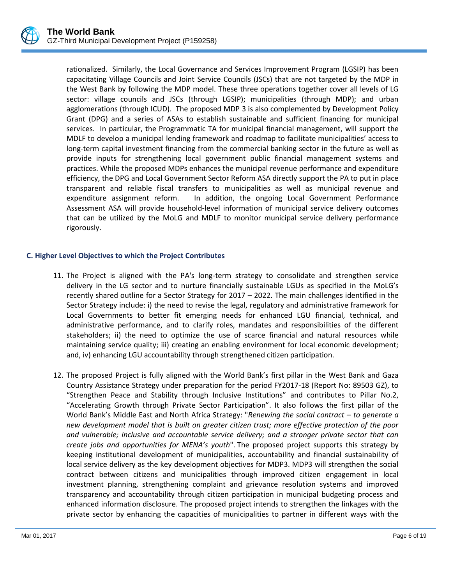

rationalized. Similarly, the Local Governance and Services Improvement Program (LGSIP) has been capacitating Village Councils and Joint Service Councils (JSCs) that are not targeted by the MDP in the West Bank by following the MDP model. These three operations together cover all levels of LG sector: village councils and JSCs (through LGSIP); municipalities (through MDP); and urban agglomerations (through ICUD). The proposed MDP 3 is also complemented by Development Policy Grant (DPG) and a series of ASAs to establish sustainable and sufficient financing for municipal services. In particular, the Programmatic TA for municipal financial management, will support the MDLF to develop a municipal lending framework and roadmap to facilitate municipalities' access to long-term capital investment financing from the commercial banking sector in the future as well as provide inputs for strengthening local government public financial management systems and practices. While the proposed MDPs enhances the municipal revenue performance and expenditure efficiency, the DPG and Local Government Sector Reform ASA directly support the PA to put in place transparent and reliable fiscal transfers to municipalities as well as municipal revenue and expenditure assignment reform. In addition, the ongoing Local Government Performance Assessment ASA will provide household-level information of municipal service delivery outcomes that can be utilized by the MoLG and MDLF to monitor municipal service delivery performance rigorously.

# **C. Higher Level Objectives to which the Project Contributes**

- 11. The Project is aligned with the PA's long-term strategy to consolidate and strengthen service delivery in the LG sector and to nurture financially sustainable LGUs as specified in the MoLG's recently shared outline for a Sector Strategy for 2017 – 2022. The main challenges identified in the Sector Strategy include: i) the need to revise the legal, regulatory and administrative framework for Local Governments to better fit emerging needs for enhanced LGU financial, technical, and administrative performance, and to clarify roles, mandates and responsibilities of the different stakeholders; ii) the need to optimize the use of scarce financial and natural resources while maintaining service quality; iii) creating an enabling environment for local economic development; and, iv) enhancing LGU accountability through strengthened citizen participation.
- 12. The proposed Project is fully aligned with the World Bank's first pillar in the West Bank and Gaza Country Assistance Strategy under preparation for the period FY2017-18 (Report No: 89503 GZ), to "Strengthen Peace and Stability through Inclusive Institutions" and contributes to Pillar No.2, "Accelerating Growth through Private Sector Participation". It also follows the first pillar of the World Bank's Middle East and North Africa Strategy: "*Renewing the social contract – to generate a new development model that is built on greater citizen trust; more effective protection of the poor and vulnerable; inclusive and accountable service delivery; and a stronger private sector that can create jobs and opportunities for MENA's youth*". The proposed project supports this strategy by keeping institutional development of municipalities, accountability and financial sustainability of local service delivery as the key development objectives for MDP3. MDP3 will strengthen the social contract between citizens and municipalities through improved citizen engagement in local investment planning, strengthening complaint and grievance resolution systems and improved transparency and accountability through citizen participation in municipal budgeting process and enhanced information disclosure. The proposed project intends to strengthen the linkages with the private sector by enhancing the capacities of municipalities to partner in different ways with the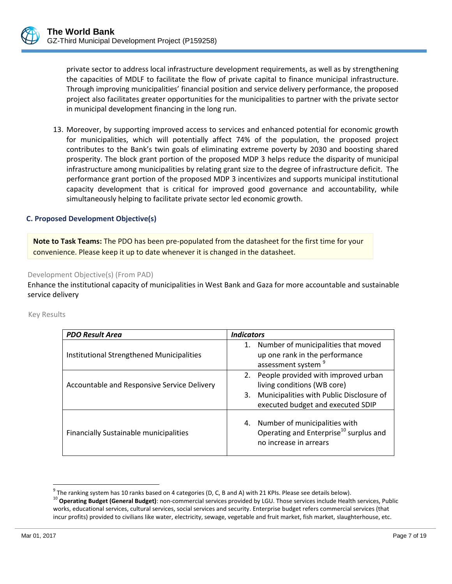

13. Moreover, by supporting improved access to services and enhanced potential for economic growth for municipalities, which will potentially affect 74% of the population, the proposed project contributes to the Bank's twin goals of eliminating extreme poverty by 2030 and boosting shared prosperity. The block grant portion of the proposed MDP 3 helps reduce the disparity of municipal infrastructure among municipalities by relating grant size to the degree of infrastructure deficit. The performance grant portion of the proposed MDP 3 incentivizes and supports municipal institutional capacity development that is critical for improved good governance and accountability, while simultaneously helping to facilitate private sector led economic growth.

#### **C. Proposed Development Objective(s)**

**Note to Task Teams:** The PDO has been pre-populated from the datasheet for the first time for your convenience. Please keep it up to date whenever it is changed in the datasheet.

Development Objective(s) (From PAD)

Enhance the institutional capacity of municipalities in West Bank and Gaza for more accountable and sustainable service delivery

| <b>PDO Result Area</b>                        | <b>Indicators</b>                                                                                                |
|-----------------------------------------------|------------------------------------------------------------------------------------------------------------------|
|                                               | 1. Number of municipalities that moved                                                                           |
| Institutional Strengthened Municipalities     | up one rank in the performance                                                                                   |
|                                               | assessment system <sup>9</sup>                                                                                   |
|                                               | 2. People provided with improved urban                                                                           |
| Accountable and Responsive Service Delivery   | living conditions (WB core)                                                                                      |
|                                               | Municipalities with Public Disclosure of<br>3.                                                                   |
|                                               | executed budget and executed SDIP                                                                                |
| <b>Financially Sustainable municipalities</b> | 4. Number of municipalities with<br>Operating and Enterprise <sup>10</sup> surplus and<br>no increase in arrears |

Key Results

l

 $^9$  The ranking system has 10 ranks based on 4 categories (D, C, B and A) with 21 KPIs. Please see details below).

<sup>&</sup>lt;sup>10</sup> Operating Budget (General Budget): non-commercial services provided by LGU. Those services include Health services, Public works, educational services, cultural services, social services and security. Enterprise budget refers commercial services (that incur profits) provided to civilians like water, electricity, sewage, vegetable and fruit market, fish market, slaughterhouse, etc.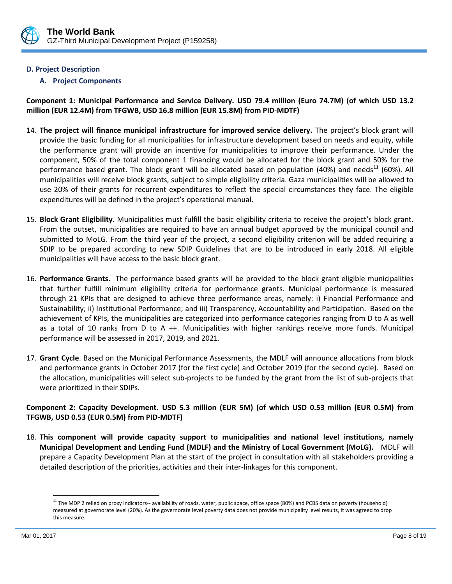

## **D. Project Description**

### **A. Project Components**

**Component 1: Municipal Performance and Service Delivery. USD 79.4 million (Euro 74.7M) (of which USD 13.2 million (EUR 12.4M) from TFGWB, USD 16.8 million (EUR 15.8M) from PID-MDTF)**

- 14. **The project will finance municipal infrastructure for improved service delivery.** The project's block grant will provide the basic funding for all municipalities for infrastructure development based on needs and equity, while the performance grant will provide an incentive for municipalities to improve their performance. Under the component, 50% of the total component 1 financing would be allocated for the block grant and 50% for the performance based grant. The block grant will be allocated based on population (40%) and needs<sup>11</sup> (60%). All municipalities will receive block grants, subject to simple eligibility criteria. Gaza municipalities will be allowed to use 20% of their grants for recurrent expenditures to reflect the special circumstances they face. The eligible expenditures will be defined in the project's operational manual.
- 15. **Block Grant Eligibility**. Municipalities must fulfill the basic eligibility criteria to receive the project's block grant. From the outset, municipalities are required to have an annual budget approved by the municipal council and submitted to MoLG. From the third year of the project, a second eligibility criterion will be added requiring a SDIP to be prepared according to new SDIP Guidelines that are to be introduced in early 2018. All eligible municipalities will have access to the basic block grant.
- 16. **Performance Grants.** The performance based grants will be provided to the block grant eligible municipalities that further fulfill minimum eligibility criteria for performance grants. Municipal performance is measured through 21 KPIs that are designed to achieve three performance areas, namely: i) Financial Performance and Sustainability; ii) Institutional Performance; and iii) Transparency, Accountability and Participation. Based on the achievement of KPIs, the municipalities are categorized into performance categories ranging from D to A as well as a total of 10 ranks from D to A ++. Municipalities with higher rankings receive more funds. Municipal performance will be assessed in 2017, 2019, and 2021.
- 17. **Grant Cycle**. Based on the Municipal Performance Assessments, the MDLF will announce allocations from block and performance grants in October 2017 (for the first cycle) and October 2019 (for the second cycle). Based on the allocation, municipalities will select sub-projects to be funded by the grant from the list of sub-projects that were prioritized in their SDIPs.

# **Component 2: Capacity Development. USD 5.3 million (EUR 5M) (of which USD 0.53 million (EUR 0.5M) from TFGWB, USD 0.53 (EUR 0.5M) from PID-MDTF)**

18. **This component will provide capacity support to municipalities and national level institutions, namely Municipal Development and Lending Fund (MDLF) and the Ministry of Local Government (MoLG).** MDLF will prepare a Capacity Development Plan at the start of the project in consultation with all stakeholders providing a detailed description of the priorities, activities and their inter-linkages for this component.

l

<sup>&</sup>lt;sup>11</sup> The MDP 2 relied on proxy indicators-- availability of roads, water, public space, office space (80%) and PCBS data on poverty (household) measured at governorate level (20%). As the governorate level poverty data does not provide municipality level results, it was agreed to drop this measure.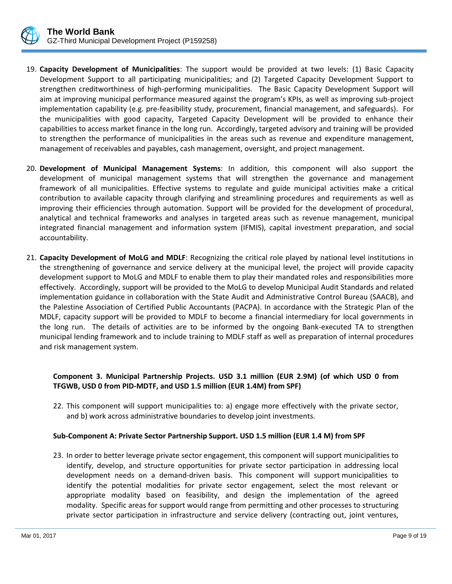

- 19. **Capacity Development of Municipalities**: The support would be provided at two levels: (1) Basic Capacity Development Support to all participating municipalities; and (2) Targeted Capacity Development Support to strengthen creditworthiness of high-performing municipalities. The Basic Capacity Development Support will aim at improving municipal performance measured against the program's KPIs, as well as improving sub-project implementation capability (e.g. pre-feasibility study, procurement, financial management, and safeguards). For the municipalities with good capacity, Targeted Capacity Development will be provided to enhance their capabilities to access market finance in the long run. Accordingly, targeted advisory and training will be provided to strengthen the performance of municipalities in the areas such as revenue and expenditure management, management of receivables and payables, cash management, oversight, and project management.
- 20. **Development of Municipal Management Systems**: In addition, this component will also support the development of municipal management systems that will strengthen the governance and management framework of all municipalities. Effective systems to regulate and guide municipal activities make a critical contribution to available capacity through clarifying and streamlining procedures and requirements as well as improving their efficiencies through automation. Support will be provided for the development of procedural, analytical and technical frameworks and analyses in targeted areas such as revenue management, municipal integrated financial management and information system (IFMIS), capital investment preparation, and social accountability.
- 21. **Capacity Development of MoLG and MDLF**: Recognizing the critical role played by national level institutions in the strengthening of governance and service delivery at the municipal level, the project will provide capacity development support to MoLG and MDLF to enable them to play their mandated roles and responsibilities more effectively. Accordingly, support will be provided to the MoLG to develop Municipal Audit Standards and related implementation guidance in collaboration with the State Audit and Administrative Control Bureau (SAACB), and the Palestine Association of Certified Public Accountants (PACPA). In accordance with the Strategic Plan of the MDLF, capacity support will be provided to MDLF to become a financial intermediary for local governments in the long run. The details of activities are to be informed by the ongoing Bank-executed TA to strengthen municipal lending framework and to include training to MDLF staff as well as preparation of internal procedures and risk management system.

### **Component 3. Municipal Partnership Projects. USD 3.1 million (EUR 2.9M) (of which USD 0 from TFGWB, USD 0 from PID-MDTF, and USD 1.5 million (EUR 1.4M) from SPF)**

22. This component will support municipalities to: a) engage more effectively with the private sector, and b) work across administrative boundaries to develop joint investments.

### **Sub-Component A: Private Sector Partnership Support. USD 1.5 million (EUR 1.4 M) from SPF**

23. In order to better leverage private sector engagement, this component will support municipalities to identify, develop, and structure opportunities for private sector participation in addressing local development needs on a demand-driven basis. This component will support municipalities to identify the potential modalities for private sector engagement, select the most relevant or appropriate modality based on feasibility, and design the implementation of the agreed modality. Specific areas for support would range from permitting and other processes to structuring private sector participation in infrastructure and service delivery (contracting out, joint ventures,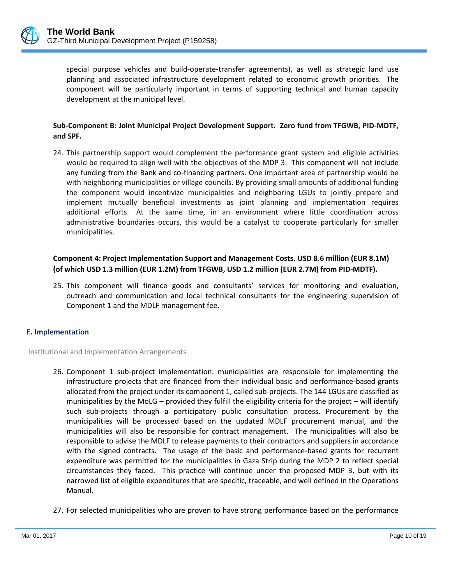

special purpose vehicles and build-operate-transfer agreements), as well as strategic land use planning and associated infrastructure development related to economic growth priorities. The component will be particularly important in terms of supporting technical and human capacity development at the municipal level.

# **Sub-Component B: Joint Municipal Project Development Support. Zero fund from TFGWB, PID-MDTF, and SPF.**

24. This partnership support would complement the performance grant system and eligible activities would be required to align well with the objectives of the MDP 3. This component will not include any funding from the Bank and co-financing partners. One important area of partnership would be with neighboring municipalities or village councils. By providing small amounts of additional funding the component would incentivize municipalities and neighboring LGUs to jointly prepare and implement mutually beneficial investments as joint planning and implementation requires additional efforts. At the same time, in an environment where little coordination across administrative boundaries occurs, this would be a catalyst to cooperate particularly for smaller municipalities.

# **Component 4: Project Implementation Support and Management Costs. USD 8.6 million (EUR 8.1M) (of which USD 1.3 million (EUR 1.2M) from TFGWB, USD 1.2 million (EUR 2.7M) from PID-MDTF).**

25. This component will finance goods and consultants' services for monitoring and evaluation, outreach and communication and local technical consultants for the engineering supervision of Component 1 and the MDLF management fee.

### **E. Implementation**

Institutional and Implementation Arrangements

- 26. Component 1 sub-project implementation: municipalities are responsible for implementing the infrastructure projects that are financed from their individual basic and performance-based grants allocated from the project under its component 1, called sub-projects. The 144 LGUs are classified as municipalities by the MoLG – provided they fulfill the eligibility criteria for the project – will identify such sub-projects through a participatory public consultation process. Procurement by the municipalities will be processed based on the updated MDLF procurement manual, and the municipalities will also be responsible for contract management. The municipalities will also be responsible to advise the MDLF to release payments to their contractors and suppliers in accordance with the signed contracts. The usage of the basic and performance-based grants for recurrent expenditure was permitted for the municipalities in Gaza Strip during the MDP 2 to reflect special circumstances they faced. This practice will continue under the proposed MDP 3, but with its narrowed list of eligible expenditures that are specific, traceable, and well defined in the Operations Manual.
- 27. For selected municipalities who are proven to have strong performance based on the performance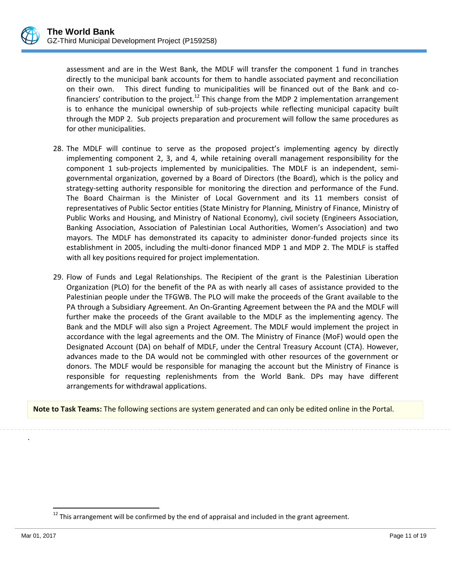assessment and are in the West Bank, the MDLF will transfer the component 1 fund in tranches directly to the municipal bank accounts for them to handle associated payment and reconciliation on their own. This direct funding to municipalities will be financed out of the Bank and cofinanciers' contribution to the project.<sup>12</sup> This change from the MDP 2 implementation arrangement is to enhance the municipal ownership of sub-projects while reflecting municipal capacity built through the MDP 2. Sub projects preparation and procurement will follow the same procedures as for other municipalities.

- 28. The MDLF will continue to serve as the proposed project's implementing agency by directly implementing component 2, 3, and 4, while retaining overall management responsibility for the component 1 sub-projects implemented by municipalities. The MDLF is an independent, semigovernmental organization, governed by a Board of Directors (the Board), which is the policy and strategy-setting authority responsible for monitoring the direction and performance of the Fund. The Board Chairman is the Minister of Local Government and its 11 members consist of representatives of Public Sector entities (State Ministry for Planning, Ministry of Finance, Ministry of Public Works and Housing, and Ministry of National Economy), civil society (Engineers Association, Banking Association, Association of Palestinian Local Authorities, Women's Association) and two mayors. The MDLF has demonstrated its capacity to administer donor-funded projects since its establishment in 2005, including the multi-donor financed MDP 1 and MDP 2. The MDLF is staffed with all key positions required for project implementation.
- 29. Flow of Funds and Legal Relationships. The Recipient of the grant is the Palestinian Liberation Organization (PLO) for the benefit of the PA as with nearly all cases of assistance provided to the Palestinian people under the TFGWB. The PLO will make the proceeds of the Grant available to the PA through a Subsidiary Agreement. An On-Granting Agreement between the PA and the MDLF will further make the proceeds of the Grant available to the MDLF as the implementing agency. The Bank and the MDLF will also sign a Project Agreement. The MDLF would implement the project in accordance with the legal agreements and the OM. The Ministry of Finance (MoF) would open the Designated Account (DA) on behalf of MDLF, under the Central Treasury Account (CTA). However, advances made to the DA would not be commingled with other resources of the government or donors. The MDLF would be responsible for managing the account but the Ministry of Finance is responsible for requesting replenishments from the World Bank. DPs may have different arrangements for withdrawal applications.

**Note to Task Teams:** The following sections are system generated and can only be edited online in the Portal.

 $\overline{a}$ 

.

 $^{12}$  This arrangement will be confirmed by the end of appraisal and included in the grant agreement.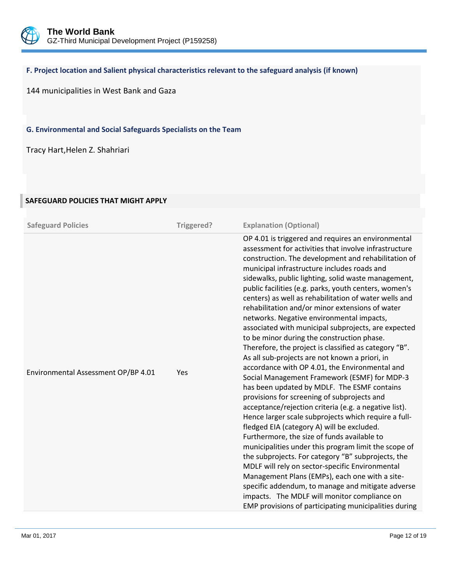

#### **F. Project location and Salient physical characteristics relevant to the safeguard analysis (if known)**

144 municipalities in West Bank and Gaza

**G. Environmental and Social Safeguards Specialists on the Team**

Tracy Hart,Helen Z. Shahriari

# **Safeguard Policies Triggered? Explanation (Optional)** Environmental Assessment OP/BP 4.01 Yes OP 4.01 is triggered and requires an environmental assessment for activities that involve infrastructure construction. The development and rehabilitation of municipal infrastructure includes roads and sidewalks, public lighting, solid waste management, public facilities (e.g. parks, youth centers, women's centers) as well as rehabilitation of water wells and rehabilitation and/or minor extensions of water networks. Negative environmental impacts, associated with municipal subprojects, are expected to be minor during the construction phase. Therefore, the project is classified as category "B". As all sub-projects are not known a priori, in accordance with OP 4.01, the Environmental and Social Management Framework (ESMF) for MDP-3 has been updated by MDLF. The ESMF contains provisions for screening of subprojects and acceptance/rejection criteria (e.g. a negative list). Hence larger scale subprojects which require a fullfledged EIA (category A) will be excluded. Furthermore, the size of funds available to municipalities under this program limit the scope of the subprojects. For category "B" subprojects, the MDLF will rely on sector-specific Environmental Management Plans (EMPs), each one with a sitespecific addendum, to manage and mitigate adverse impacts. The MDLF will monitor compliance on EMP provisions of participating municipalities during

#### **SAFEGUARD POLICIES THAT MIGHT APPLY**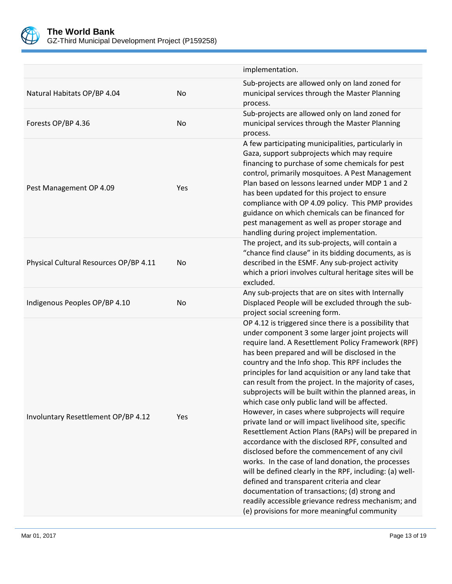

|                                        |     | implementation.                                                                                                                                                                                                                                                                                                                                                                                                                                                                                                                                                                                                                                                                                                                                                                                                                                                                                                                                                                                                                                                                                           |
|----------------------------------------|-----|-----------------------------------------------------------------------------------------------------------------------------------------------------------------------------------------------------------------------------------------------------------------------------------------------------------------------------------------------------------------------------------------------------------------------------------------------------------------------------------------------------------------------------------------------------------------------------------------------------------------------------------------------------------------------------------------------------------------------------------------------------------------------------------------------------------------------------------------------------------------------------------------------------------------------------------------------------------------------------------------------------------------------------------------------------------------------------------------------------------|
| Natural Habitats OP/BP 4.04            | No  | Sub-projects are allowed only on land zoned for<br>municipal services through the Master Planning<br>process.                                                                                                                                                                                                                                                                                                                                                                                                                                                                                                                                                                                                                                                                                                                                                                                                                                                                                                                                                                                             |
| Forests OP/BP 4.36                     | No  | Sub-projects are allowed only on land zoned for<br>municipal services through the Master Planning<br>process.                                                                                                                                                                                                                                                                                                                                                                                                                                                                                                                                                                                                                                                                                                                                                                                                                                                                                                                                                                                             |
| Pest Management OP 4.09                | Yes | A few participating municipalities, particularly in<br>Gaza, support subprojects which may require<br>financing to purchase of some chemicals for pest<br>control, primarily mosquitoes. A Pest Management<br>Plan based on lessons learned under MDP 1 and 2<br>has been updated for this project to ensure<br>compliance with OP 4.09 policy. This PMP provides<br>guidance on which chemicals can be financed for<br>pest management as well as proper storage and<br>handling during project implementation.                                                                                                                                                                                                                                                                                                                                                                                                                                                                                                                                                                                          |
| Physical Cultural Resources OP/BP 4.11 | No  | The project, and its sub-projects, will contain a<br>"chance find clause" in its bidding documents, as is<br>described in the ESMF. Any sub-project activity<br>which a priori involves cultural heritage sites will be<br>excluded.                                                                                                                                                                                                                                                                                                                                                                                                                                                                                                                                                                                                                                                                                                                                                                                                                                                                      |
| Indigenous Peoples OP/BP 4.10          | No  | Any sub-projects that are on sites with Internally<br>Displaced People will be excluded through the sub-<br>project social screening form.                                                                                                                                                                                                                                                                                                                                                                                                                                                                                                                                                                                                                                                                                                                                                                                                                                                                                                                                                                |
| Involuntary Resettlement OP/BP 4.12    | Yes | OP 4.12 is triggered since there is a possibility that<br>under component 3 some larger joint projects will<br>require land. A Resettlement Policy Framework (RPF)<br>has been prepared and will be disclosed in the<br>country and the Info shop. This RPF includes the<br>principles for land acquisition or any land take that<br>can result from the project. In the majority of cases,<br>subprojects will be built within the planned areas, in<br>which case only public land will be affected.<br>However, in cases where subprojects will require<br>private land or will impact livelihood site, specific<br>Resettlement Action Plans (RAPs) will be prepared in<br>accordance with the disclosed RPF, consulted and<br>disclosed before the commencement of any civil<br>works. In the case of land donation, the processes<br>will be defined clearly in the RPF, including: (a) well-<br>defined and transparent criteria and clear<br>documentation of transactions; (d) strong and<br>readily accessible grievance redress mechanism; and<br>(e) provisions for more meaningful community |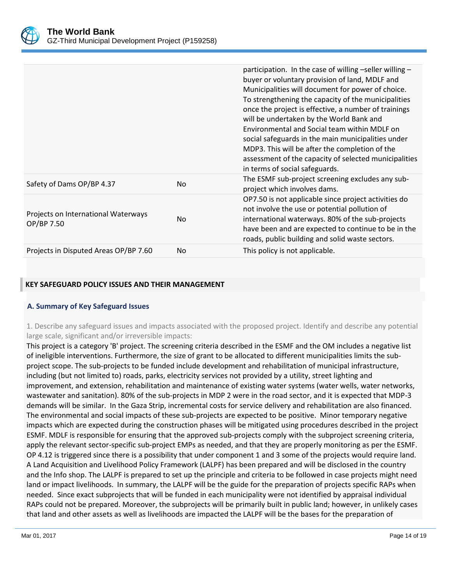

|                                                   |                | participation. In the case of willing -seller willing -<br>buyer or voluntary provision of land, MDLF and<br>Municipalities will document for power of choice.<br>To strengthening the capacity of the municipalities<br>once the project is effective, a number of trainings<br>will be undertaken by the World Bank and<br>Environmental and Social team within MDLF on<br>social safeguards in the main municipalities under<br>MDP3. This will be after the completion of the<br>assessment of the capacity of selected municipalities<br>in terms of social safeguards. |
|---------------------------------------------------|----------------|------------------------------------------------------------------------------------------------------------------------------------------------------------------------------------------------------------------------------------------------------------------------------------------------------------------------------------------------------------------------------------------------------------------------------------------------------------------------------------------------------------------------------------------------------------------------------|
| Safety of Dams OP/BP 4.37                         | N <sub>o</sub> | The ESMF sub-project screening excludes any sub-<br>project which involves dams.                                                                                                                                                                                                                                                                                                                                                                                                                                                                                             |
| Projects on International Waterways<br>OP/BP 7.50 | N <sub>0</sub> | OP7.50 is not applicable since project activities do<br>not involve the use or potential pollution of<br>international waterways. 80% of the sub-projects<br>have been and are expected to continue to be in the<br>roads, public building and solid waste sectors.                                                                                                                                                                                                                                                                                                          |
| Projects in Disputed Areas OP/BP 7.60             | N <sub>0</sub> | This policy is not applicable.                                                                                                                                                                                                                                                                                                                                                                                                                                                                                                                                               |

#### **KEY SAFEGUARD POLICY ISSUES AND THEIR MANAGEMENT**

### **A. Summary of Key Safeguard Issues**

1. Describe any safeguard issues and impacts associated with the proposed project. Identify and describe any potential large scale, significant and/or irreversible impacts:

This project is a category 'B' project. The screening criteria described in the ESMF and the OM includes a negative list of ineligible interventions. Furthermore, the size of grant to be allocated to different municipalities limits the subproject scope. The sub-projects to be funded include development and rehabilitation of municipal infrastructure, including (but not limited to) roads, parks, electricity services not provided by a utility, street lighting and improvement, and extension, rehabilitation and maintenance of existing water systems (water wells, water networks, wastewater and sanitation). 80% of the sub-projects in MDP 2 were in the road sector, and it is expected that MDP-3 demands will be similar. In the Gaza Strip, incremental costs for service delivery and rehabilitation are also financed. The environmental and social impacts of these sub-projects are expected to be positive. Minor temporary negative impacts which are expected during the construction phases will be mitigated using procedures described in the project ESMF. MDLF is responsible for ensuring that the approved sub-projects comply with the subproject screening criteria, apply the relevant sector-specific sub-project EMPs as needed, and that they are properly monitoring as per the ESMF. OP 4.12 is triggered since there is a possibility that under component 1 and 3 some of the projects would require land. A Land Acquisition and Livelihood Policy Framework (LALPF) has been prepared and will be disclosed in the country and the Info shop. The LALPF is prepared to set up the principle and criteria to be followed in case projects might need land or impact livelihoods. In summary, the LALPF will be the guide for the preparation of projects specific RAPs when needed. Since exact subprojects that will be funded in each municipality were not identified by appraisal individual RAPs could not be prepared. Moreover, the subprojects will be primarily built in public land; however, in unlikely cases that land and other assets as well as livelihoods are impacted the LALPF will be the bases for the preparation of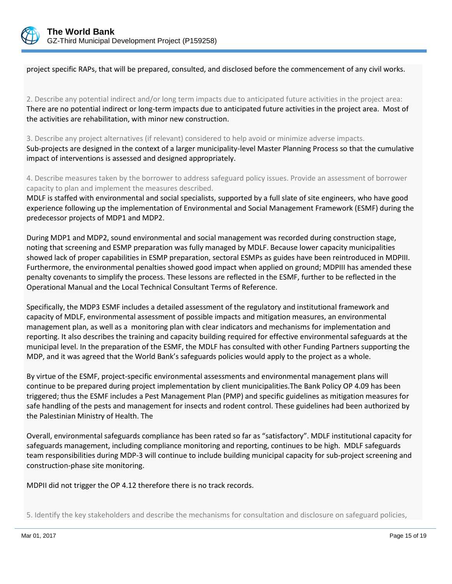

project specific RAPs, that will be prepared, consulted, and disclosed before the commencement of any civil works.

2. Describe any potential indirect and/or long term impacts due to anticipated future activities in the project area: There are no potential indirect or long-term impacts due to anticipated future activities in the project area. Most of the activities are rehabilitation, with minor new construction.

3. Describe any project alternatives (if relevant) considered to help avoid or minimize adverse impacts. Sub-projects are designed in the context of a larger municipality-level Master Planning Process so that the cumulative impact of interventions is assessed and designed appropriately.

4. Describe measures taken by the borrower to address safeguard policy issues. Provide an assessment of borrower capacity to plan and implement the measures described.

MDLF is staffed with environmental and social specialists, supported by a full slate of site engineers, who have good experience following up the implementation of Environmental and Social Management Framework (ESMF) during the predecessor projects of MDP1 and MDP2.

During MDP1 and MDP2, sound environmental and social management was recorded during construction stage, noting that screening and ESMP preparation was fully managed by MDLF. Because lower capacity municipalities showed lack of proper capabilities in ESMP preparation, sectoral ESMPs as guides have been reintroduced in MDPIII. Furthermore, the environmental penalties showed good impact when applied on ground; MDPIII has amended these penalty covenants to simplify the process. These lessons are reflected in the ESMF, further to be reflected in the Operational Manual and the Local Technical Consultant Terms of Reference.

Specifically, the MDP3 ESMF includes a detailed assessment of the regulatory and institutional framework and capacity of MDLF, environmental assessment of possible impacts and mitigation measures, an environmental management plan, as well as a monitoring plan with clear indicators and mechanisms for implementation and reporting. It also describes the training and capacity building required for effective environmental safeguards at the municipal level. In the preparation of the ESMF, the MDLF has consulted with other Funding Partners supporting the MDP, and it was agreed that the World Bank's safeguards policies would apply to the project as a whole.

By virtue of the ESMF, project-specific environmental assessments and environmental management plans will continue to be prepared during project implementation by client municipalities.The Bank Policy OP 4.09 has been triggered; thus the ESMF includes a Pest Management Plan (PMP) and specific guidelines as mitigation measures for safe handling of the pests and management for insects and rodent control. These guidelines had been authorized by the Palestinian Ministry of Health. The

Overall, environmental safeguards compliance has been rated so far as "satisfactory". MDLF institutional capacity for safeguards management, including compliance monitoring and reporting, continues to be high. MDLF safeguards team responsibilities during MDP-3 will continue to include building municipal capacity for sub-project screening and construction-phase site monitoring.

MDPII did not trigger the OP 4.12 therefore there is no track records.

5. Identify the key stakeholders and describe the mechanisms for consultation and disclosure on safeguard policies,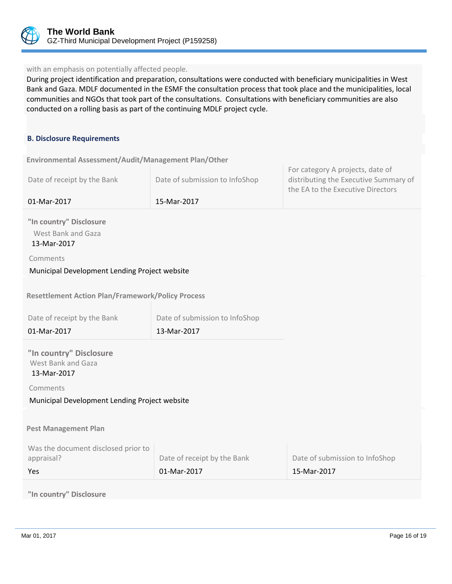

#### with an emphasis on potentially affected people.

During project identification and preparation, consultations were conducted with beneficiary municipalities in West Bank and Gaza. MDLF documented in the ESMF the consultation process that took place and the municipalities, local communities and NGOs that took part of the consultations. Consultations with beneficiary communities are also conducted on a rolling basis as part of the continuing MDLF project cycle.

#### **B. Disclosure Requirements**

**Environmental Assessment/Audit/Management Plan/Other** 

| Date of receipt by the Bank                                  | Date of submission to InfoShop | For category A projects, date of<br>distributing the Executive Summary of<br>the EA to the Executive Directors |
|--------------------------------------------------------------|--------------------------------|----------------------------------------------------------------------------------------------------------------|
| 01-Mar-2017                                                  | 15-Mar-2017                    |                                                                                                                |
| "In country" Disclosure<br>West Bank and Gaza<br>13-Mar-2017 |                                |                                                                                                                |
| Comments                                                     |                                |                                                                                                                |
| Municipal Development Lending Project website                |                                |                                                                                                                |
| <b>Resettlement Action Plan/Framework/Policy Process</b>     |                                |                                                                                                                |
| Date of receipt by the Bank                                  | Date of submission to InfoShop |                                                                                                                |
| 01-Mar-2017                                                  | 13-Mar-2017                    |                                                                                                                |
| "In country" Disclosure<br>West Bank and Gaza<br>13-Mar-2017 |                                |                                                                                                                |
| Comments                                                     |                                |                                                                                                                |
| Municipal Development Lending Project website                |                                |                                                                                                                |
|                                                              |                                |                                                                                                                |
| <b>Pest Management Plan</b>                                  |                                |                                                                                                                |
| Was the document disclosed prior to<br>appraisal?            | Date of receipt by the Bank    | Date of submission to InfoShop                                                                                 |
| Yes                                                          | 01-Mar-2017                    | 15-Mar-2017                                                                                                    |

# **"In country" Disclosure**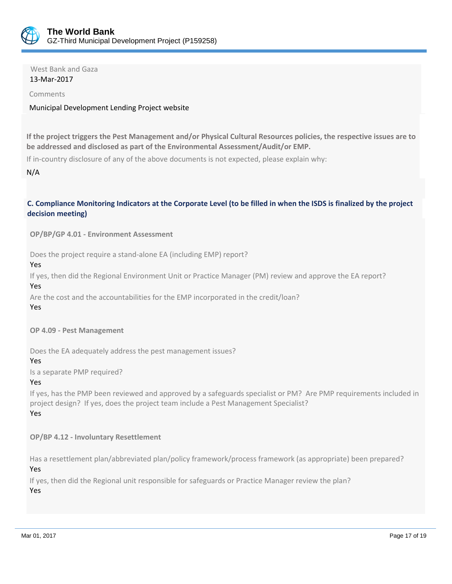

 West Bank and Gaza 13-Mar-2017

Comments

### Municipal Development Lending Project website

**If the project triggers the Pest Management and/or Physical Cultural Resources policies, the respective issues are to be addressed and disclosed as part of the Environmental Assessment/Audit/or EMP.**

If in-country disclosure of any of the above documents is not expected, please explain why:

N/A

# **C. Compliance Monitoring Indicators at the Corporate Level (to be filled in when the ISDS is finalized by the project decision meeting)**

**OP/BP/GP 4.01 - Environment Assessment** 

Does the project require a stand-alone EA (including EMP) report?

Yes

If yes, then did the Regional Environment Unit or Practice Manager (PM) review and approve the EA report? Yes

Are the cost and the accountabilities for the EMP incorporated in the credit/loan?

Yes

**OP 4.09 - Pest Management**

Does the EA adequately address the pest management issues?

Yes

Is a separate PMP required?

Yes

If yes, has the PMP been reviewed and approved by a safeguards specialist or PM? Are PMP requirements included in project design? If yes, does the project team include a Pest Management Specialist? Yes

**OP/BP 4.12 - Involuntary Resettlement**

Has a resettlement plan/abbreviated plan/policy framework/process framework (as appropriate) been prepared? Yes

If yes, then did the Regional unit responsible for safeguards or Practice Manager review the plan? Yes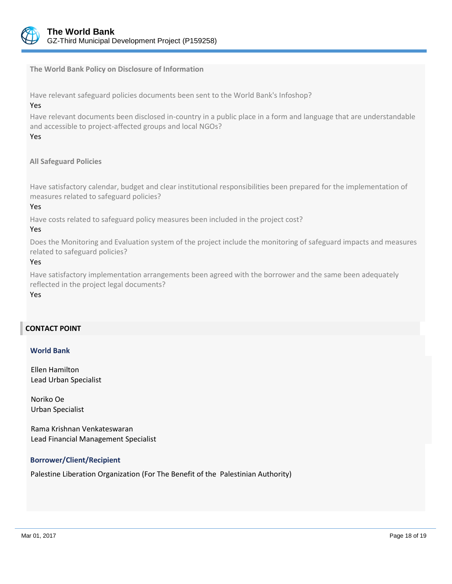

**The World Bank Policy on Disclosure of Information**

Have relevant safeguard policies documents been sent to the World Bank's Infoshop?

#### Yes

Have relevant documents been disclosed in-country in a public place in a form and language that are understandable and accessible to project-affected groups and local NGOs?

# Yes

# **All Safeguard Policies**

Have satisfactory calendar, budget and clear institutional responsibilities been prepared for the implementation of measures related to safeguard policies?

#### Yes

Have costs related to safeguard policy measures been included in the project cost?

#### Yes

Does the Monitoring and Evaluation system of the project include the monitoring of safeguard impacts and measures related to safeguard policies?

### Yes

Have satisfactory implementation arrangements been agreed with the borrower and the same been adequately reflected in the project legal documents?

#### Yes

# **CONTACT POINT**

#### **World Bank**

Ellen Hamilton Lead Urban Specialist

Noriko Oe Urban Specialist

Rama Krishnan Venkateswaran Lead Financial Management Specialist

### **Borrower/Client/Recipient**

Palestine Liberation Organization (For The Benefit of the Palestinian Authority)